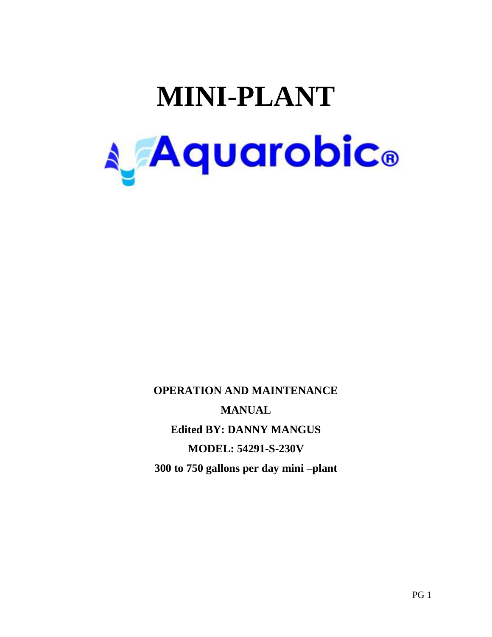# **MINI-PLANT A** Aquarobic®

**OPERATION AND MAINTENANCE MANUAL Edited BY: DANNY MANGUS MODEL: 54291-S-230V 300 to 750 gallons per day mini –plant**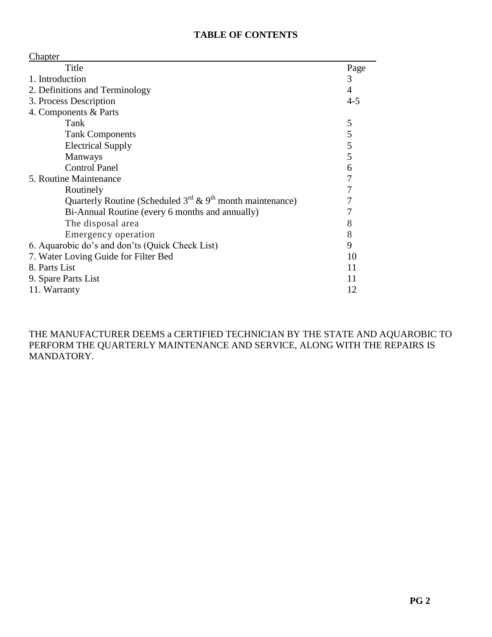#### **TABLE OF CONTENTS**

|--|

| CHAPICI                                                             |               |
|---------------------------------------------------------------------|---------------|
| Title                                                               | Page          |
| 1. Introduction                                                     | 3             |
| 2. Definitions and Terminology                                      | 4             |
| 3. Process Description                                              |               |
| 4. Components & Parts                                               |               |
| Tank                                                                | 5             |
| <b>Tank Components</b>                                              | $\mathfrak s$ |
| <b>Electrical Supply</b>                                            | 5             |
| <b>Manways</b>                                                      | 5             |
| <b>Control Panel</b>                                                | 6             |
| 5. Routine Maintenance                                              | 7             |
| Routinely                                                           | 7             |
| Quarterly Routine (Scheduled $3^{rd}$ & $9^{th}$ month maintenance) | 7             |
| Bi-Annual Routine (every 6 months and annually)                     | 7             |
| The disposal area                                                   | 8             |
| Emergency operation                                                 | 8             |
| 6. Aquarobic do's and don'ts (Quick Check List)                     |               |
| 7. Water Loving Guide for Filter Bed<br>10                          |               |
| 8. Parts List                                                       |               |
| 9. Spare Parts List                                                 |               |
| 11. Warranty                                                        |               |

THE MANUFACTURER DEEMS a CERTIFIED TECHNICIAN BY THE STATE AND AQUAROBIC TO PERFORM THE QUARTERLY MAINTENANCE AND SERVICE, ALONG WITH THE REPAIRS IS MANDATORY.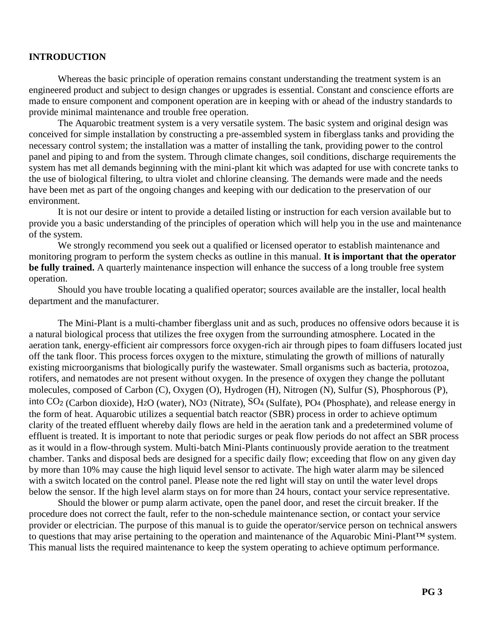#### **INTRODUCTION**

Whereas the basic principle of operation remains constant understanding the treatment system is an engineered product and subject to design changes or upgrades is essential. Constant and conscience efforts are made to ensure component and component operation are in keeping with or ahead of the industry standards to provide minimal maintenance and trouble free operation.

The Aquarobic treatment system is a very versatile system. The basic system and original design was conceived for simple installation by constructing a pre-assembled system in fiberglass tanks and providing the necessary control system; the installation was a matter of installing the tank, providing power to the control panel and piping to and from the system. Through climate changes, soil conditions, discharge requirements the system has met all demands beginning with the mini-plant kit which was adapted for use with concrete tanks to the use of biological filtering, to ultra violet and chlorine cleansing. The demands were made and the needs have been met as part of the ongoing changes and keeping with our dedication to the preservation of our environment.

It is not our desire or intent to provide a detailed listing or instruction for each version available but to provide you a basic understanding of the principles of operation which will help you in the use and maintenance of the system.

We strongly recommend you seek out a qualified or licensed operator to establish maintenance and monitoring program to perform the system checks as outline in this manual. **It is important that the operator be fully trained.** A quarterly maintenance inspection will enhance the success of a long trouble free system operation.

Should you have trouble locating a qualified operator; sources available are the installer, local health department and the manufacturer.

The Mini-Plant is a multi-chamber fiberglass unit and as such, produces no offensive odors because it is a natural biological process that utilizes the free oxygen from the surrounding atmosphere. Located in the aeration tank, energy-efficient air compressors force oxygen-rich air through pipes to foam diffusers located just off the tank floor. This process forces oxygen to the mixture, stimulating the growth of millions of naturally existing microorganisms that biologically purify the wastewater. Small organisms such as bacteria, protozoa, rotifers, and nematodes are not present without oxygen. In the presence of oxygen they change the pollutant molecules, composed of Carbon (C), Oxygen (O), Hydrogen (H), Nitrogen (N), Sulfur (S), Phosphorous (P), into CO<sup>2</sup> (Carbon dioxide), H2O (water), NO<sup>3</sup> (Nitrate), SO<sup>4</sup> (Sulfate), PO<sup>4</sup> (Phosphate), and release energy in the form of heat. Aquarobic utilizes a sequential batch reactor (SBR) process in order to achieve optimum clarity of the treated effluent whereby daily flows are held in the aeration tank and a predetermined volume of effluent is treated. It is important to note that periodic surges or peak flow periods do not affect an SBR process as it would in a flow-through system. Multi-batch Mini-Plants continuously provide aeration to the treatment chamber. Tanks and disposal beds are designed for a specific daily flow; exceeding that flow on any given day by more than 10% may cause the high liquid level sensor to activate. The high water alarm may be silenced with a switch located on the control panel. Please note the red light will stay on until the water level drops below the sensor. If the high level alarm stays on for more than 24 hours, contact your service representative.

Should the blower or pump alarm activate, open the panel door, and reset the circuit breaker. If the procedure does not correct the fault, refer to the non-schedule maintenance section, or contact your service provider or electrician. The purpose of this manual is to guide the operator/service person on technical answers to questions that may arise pertaining to the operation and maintenance of the Aquarobic Mini-Plant™ system. This manual lists the required maintenance to keep the system operating to achieve optimum performance.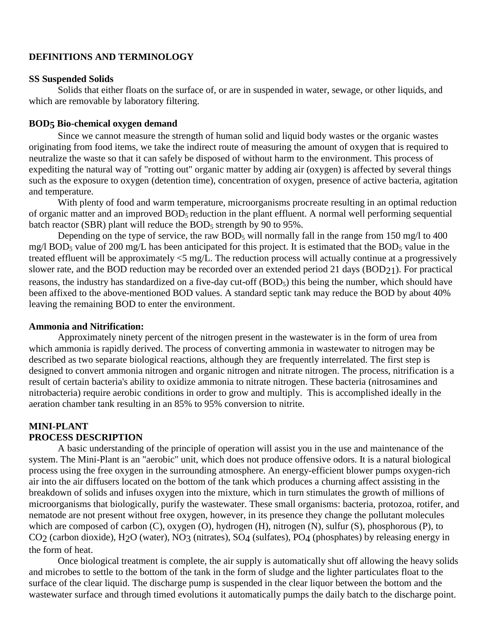#### **DEFINITIONS AND TERMINOLOGY**

#### **SS Suspended Solids**

Solids that either floats on the surface of, or are in suspended in water, sewage, or other liquids, and which are removable by laboratory filtering.

#### **BOD5 Bio-chemical oxygen demand**

Since we cannot measure the strength of human solid and liquid body wastes or the organic wastes originating from food items, we take the indirect route of measuring the amount of oxygen that is required to neutralize the waste so that it can safely be disposed of without harm to the environment. This process of expediting the natural way of "rotting out" organic matter by adding air (oxygen) is affected by several things such as the exposure to oxygen (detention time), concentration of oxygen, presence of active bacteria, agitation and temperature.

With plenty of food and warm temperature, microorganisms procreate resulting in an optimal reduction of organic matter and an improved BOD5 reduction in the plant effluent. A normal well performing sequential batch reactor (SBR) plant will reduce the  $BOD_5$  strength by 90 to 95%.

Depending on the type of service, the raw  $BOD_5$  will normally fall in the range from 150 mg/l to 400 mg/l BOD<sub>5</sub> value of 200 mg/L has been anticipated for this project. It is estimated that the BOD<sub>5</sub> value in the treated effluent will be approximately <5 mg/L. The reduction process will actually continue at a progressively slower rate, and the BOD reduction may be recorded over an extended period 21 days (BOD21). For practical reasons, the industry has standardized on a five-day cut-off (BOD<sub>5</sub>) this being the number, which should have been affixed to the above-mentioned BOD values. A standard septic tank may reduce the BOD by about 40% leaving the remaining BOD to enter the environment.

#### **Ammonia and Nitrification:**

Approximately ninety percent of the nitrogen present in the wastewater is in the form of urea from which ammonia is rapidly derived. The process of converting ammonia in wastewater to nitrogen may be described as two separate biological reactions, although they are frequently interrelated. The first step is designed to convert ammonia nitrogen and organic nitrogen and nitrate nitrogen. The process, nitrification is a result of certain bacteria's ability to oxidize ammonia to nitrate nitrogen. These bacteria (nitrosamines and nitrobacteria) require aerobic conditions in order to grow and multiply. This is accomplished ideally in the aeration chamber tank resulting in an 85% to 95% conversion to nitrite.

#### **MINI-PLANT PROCESS DESCRIPTION**

A basic understanding of the principle of operation will assist you in the use and maintenance of the system. The Mini-Plant is an "aerobic" unit, which does not produce offensive odors. It is a natural biological process using the free oxygen in the surrounding atmosphere. An energy-efficient blower pumps oxygen-rich air into the air diffusers located on the bottom of the tank which produces a churning affect assisting in the breakdown of solids and infuses oxygen into the mixture, which in turn stimulates the growth of millions of microorganisms that biologically, purify the wastewater. These small organisms: bacteria, protozoa, rotifer, and nematode are not present without free oxygen, however, in its presence they change the pollutant molecules which are composed of carbon (C), oxygen (O), hydrogen (H), nitrogen (N), sulfur (S), phosphorous (P), to CO2 (carbon dioxide), H2O (water), NO3 (nitrates), SO4 (sulfates), PO4 (phosphates) by releasing energy in the form of heat.

Once biological treatment is complete, the air supply is automatically shut off allowing the heavy solids and microbes to settle to the bottom of the tank in the form of sludge and the lighter particulates float to the surface of the clear liquid. The discharge pump is suspended in the clear liquor between the bottom and the wastewater surface and through timed evolutions it automatically pumps the daily batch to the discharge point.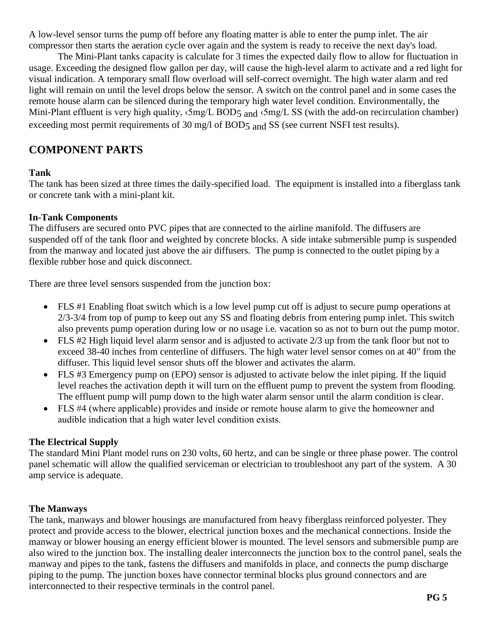A low-level sensor turns the pump off before any floating matter is able to enter the pump inlet. The air compressor then starts the aeration cycle over again and the system is ready to receive the next day's load.

The Mini-Plant tanks capacity is calculate for 3 times the expected daily flow to allow for fluctuation in usage. Exceeding the designed flow gallon per day, will cause the high-level alarm to activate and a red light for visual indication. A temporary small flow overload will self-correct overnight. The high water alarm and red light will remain on until the level drops below the sensor. A switch on the control panel and in some cases the remote house alarm can be silenced during the temporary high water level condition. Environmentally, the Mini-Plant effluent is very high quality,  $\langle 5mg/L BOD_5 \rangle$  and  $\langle 5mg/L S S$  (with the add-on recirculation chamber) exceeding most permit requirements of 30 mg/l of BOD5 and SS (see current NSFI test results).

## **COMPONENT PARTS**

#### **Tank**

The tank has been sized at three times the daily-specified load. The equipment is installed into a fiberglass tank or concrete tank with a mini-plant kit.

#### **In-Tank Components**

The diffusers are secured onto PVC pipes that are connected to the airline manifold. The diffusers are suspended off of the tank floor and weighted by concrete blocks. A side intake submersible pump is suspended from the manway and located just above the air diffusers. The pump is connected to the outlet piping by a flexible rubber hose and quick disconnect.

There are three level sensors suspended from the junction box:

- FLS #1 Enabling float switch which is a low level pump cut off is adjust to secure pump operations at 2/3-3/4 from top of pump to keep out any SS and floating debris from entering pump inlet. This switch also prevents pump operation during low or no usage i.e. vacation so as not to burn out the pump motor.
- FLS #2 High liquid level alarm sensor and is adjusted to activate 2/3 up from the tank floor but not to exceed 38-40 inches from centerline of diffusers. The high water level sensor comes on at 40" from the diffuser. This liquid level sensor shuts off the blower and activates the alarm.
- FLS #3 Emergency pump on (EPO) sensor is adjusted to activate below the inlet piping. If the liquid level reaches the activation depth it will turn on the effluent pump to prevent the system from flooding. The effluent pump will pump down to the high water alarm sensor until the alarm condition is clear.
- FLS #4 (where applicable) provides and inside or remote house alarm to give the homeowner and audible indication that a high water level condition exists.

## **The Electrical Supply**

The standard Mini Plant model runs on 230 volts, 60 hertz, and can be single or three phase power. The control panel schematic will allow the qualified serviceman or electrician to troubleshoot any part of the system. A 30 amp service is adequate.

## **The Manways**

The tank, manways and blower housings are manufactured from heavy fiberglass reinforced polyester. They protect and provide access to the blower, electrical junction boxes and the mechanical connections. Inside the manway or blower housing an energy efficient blower is mounted. The level sensors and submersible pump are also wired to the junction box. The installing dealer interconnects the junction box to the control panel, seals the manway and pipes to the tank, fastens the diffusers and manifolds in place, and connects the pump discharge piping to the pump. The junction boxes have connector terminal blocks plus ground connectors and are interconnected to their respective terminals in the control panel.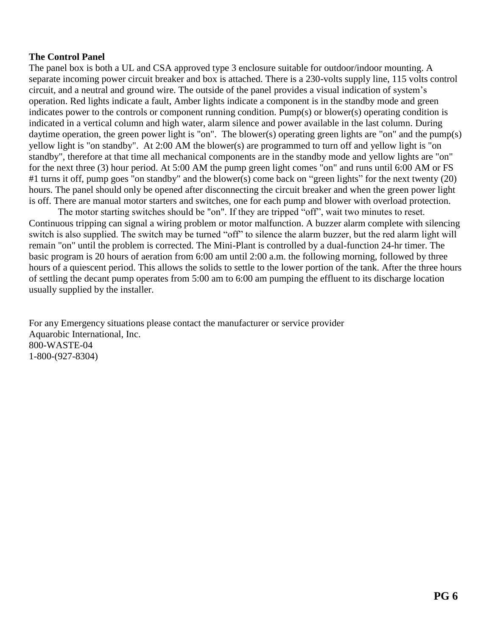#### **The Control Panel**

The panel box is both a UL and CSA approved type 3 enclosure suitable for outdoor/indoor mounting. A separate incoming power circuit breaker and box is attached. There is a 230-volts supply line, 115 volts control circuit, and a neutral and ground wire. The outside of the panel provides a visual indication of system's operation. Red lights indicate a fault, Amber lights indicate a component is in the standby mode and green indicates power to the controls or component running condition. Pump(s) or blower(s) operating condition is indicated in a vertical column and high water, alarm silence and power available in the last column. During daytime operation, the green power light is "on". The blower(s) operating green lights are "on" and the pump(s) yellow light is "on standby". At 2:00 AM the blower(s) are programmed to turn off and yellow light is "on standby", therefore at that time all mechanical components are in the standby mode and yellow lights are "on" for the next three (3) hour period. At 5:00 AM the pump green light comes "on" and runs until 6:00 AM or FS #1 turns it off, pump goes "on standby" and the blower(s) come back on "green lights" for the next twenty (20) hours. The panel should only be opened after disconnecting the circuit breaker and when the green power light is off. There are manual motor starters and switches, one for each pump and blower with overload protection.

The motor starting switches should be "on". If they are tripped "off", wait two minutes to reset. Continuous tripping can signal a wiring problem or motor malfunction. A buzzer alarm complete with silencing switch is also supplied. The switch may be turned "off" to silence the alarm buzzer, but the red alarm light will remain "on" until the problem is corrected. The Mini-Plant is controlled by a dual-function 24-hr timer. The basic program is 20 hours of aeration from 6:00 am until 2:00 a.m. the following morning, followed by three hours of a quiescent period. This allows the solids to settle to the lower portion of the tank. After the three hours of settling the decant pump operates from 5:00 am to 6:00 am pumping the effluent to its discharge location usually supplied by the installer.

For any Emergency situations please contact the manufacturer or service provider Aquarobic International, Inc. 800-WASTE-04 1-800-(927-8304)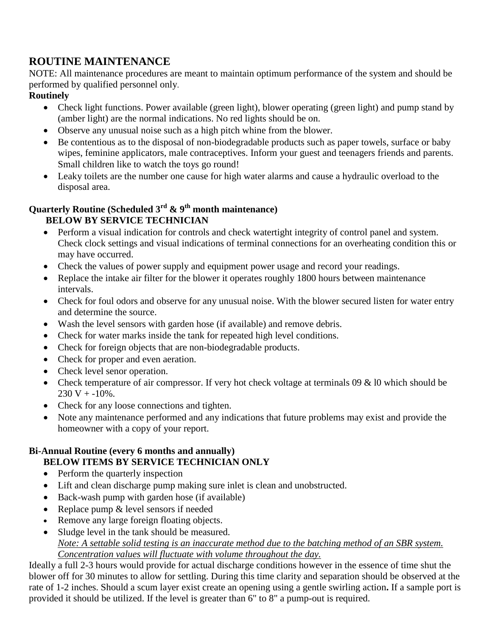## **ROUTINE MAINTENANCE**

NOTE: All maintenance procedures are meant to maintain optimum performance of the system and should be performed by qualified personnel only.

## **Routinely**

- Check light functions. Power available (green light), blower operating (green light) and pump stand by (amber light) are the normal indications. No red lights should be on.
- Observe any unusual noise such as a high pitch whine from the blower.
- Be contentious as to the disposal of non-biodegradable products such as paper towels, surface or baby wipes, feminine applicators, male contraceptives. Inform your guest and teenagers friends and parents. Small children like to watch the toys go round!
- Leaky toilets are the number one cause for high water alarms and cause a hydraulic overload to the disposal area.

## **Quarterly Routine (Scheduled 3rd & 9th month maintenance) BELOW BY SERVICE TECHNICIAN**

- Perform a visual indication for controls and check watertight integrity of control panel and system. Check clock settings and visual indications of terminal connections for an overheating condition this or may have occurred.
- Check the values of power supply and equipment power usage and record your readings.
- Replace the intake air filter for the blower it operates roughly 1800 hours between maintenance intervals.
- Check for foul odors and observe for any unusual noise. With the blower secured listen for water entry and determine the source.
- Wash the level sensors with garden hose (if available) and remove debris.
- Check for water marks inside the tank for repeated high level conditions.
- Check for foreign objects that are non-biodegradable products.
- Check for proper and even aeration.
- Check level senor operation.
- Check temperature of air compressor. If very hot check voltage at terminals 09 & 10 which should be  $230 V + -10%$ .
- Check for any loose connections and tighten.
- Note any maintenance performed and any indications that future problems may exist and provide the homeowner with a copy of your report.

## **Bi-Annual Routine (every 6 months and annually) BELOW ITEMS BY SERVICE TECHNICIAN ONLY**

- Perform the quarterly inspection
- Lift and clean discharge pump making sure inlet is clean and unobstructed.
- Back-wash pump with garden hose (if available)
- Replace pump & level sensors if needed
- Remove any large foreign floating objects.
- Sludge level in the tank should be measured. *Note: A settable solid testing is an inaccurate method due to the batching method of an SBR system. Concentration values will fluctuate with volume throughout the day.*

Ideally a full 2-3 hours would provide for actual discharge conditions however in the essence of time shut the blower off for 30 minutes to allow for settling. During this time clarity and separation should be observed at the rate of 1-2 inches. Should a scum layer exist create an opening using a gentle swirling action**.** If a sample port is provided it should be utilized. If the level is greater than 6" to 8" a pump-out is required.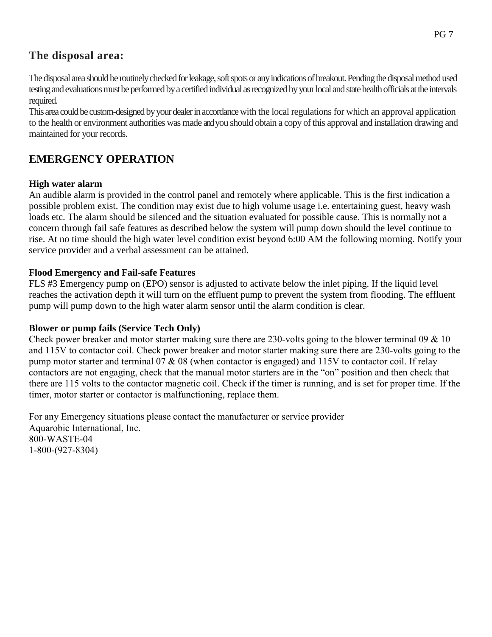## **The disposal area:**

The disposal area should be routinely checked for leakage, soft spots or any indications of breakout. Pending the disposal method used testing and evaluations must be performed by a certified individual as recognized by your local and state health officials at the intervals required.

This area could be custom-designed by your dealer in accordance with the local regulations for which an approval application to the health or environment authorities was made andyou should obtain a copy of this approval and installation drawing and maintained for your records.

## **EMERGENCY OPERATION**

## **High water alarm**

An audible alarm is provided in the control panel and remotely where applicable. This is the first indication a possible problem exist. The condition may exist due to high volume usage i.e. entertaining guest, heavy wash loads etc. The alarm should be silenced and the situation evaluated for possible cause. This is normally not a concern through fail safe features as described below the system will pump down should the level continue to rise. At no time should the high water level condition exist beyond 6:00 AM the following morning. Notify your service provider and a verbal assessment can be attained.

## **Flood Emergency and Fail-safe Features**

FLS #3 Emergency pump on (EPO) sensor is adjusted to activate below the inlet piping. If the liquid level reaches the activation depth it will turn on the effluent pump to prevent the system from flooding. The effluent pump will pump down to the high water alarm sensor until the alarm condition is clear.

## **Blower or pump fails (Service Tech Only)**

Check power breaker and motor starter making sure there are 230-volts going to the blower terminal 09 & 10 and 115V to contactor coil. Check power breaker and motor starter making sure there are 230-volts going to the pump motor starter and terminal 07 & 08 (when contactor is engaged) and 115V to contactor coil. If relay contactors are not engaging, check that the manual motor starters are in the "on" position and then check that there are 115 volts to the contactor magnetic coil. Check if the timer is running, and is set for proper time. If the timer, motor starter or contactor is malfunctioning, replace them.

For any Emergency situations please contact the manufacturer or service provider Aquarobic International, Inc. 800-WASTE-04 1-800-(927-8304)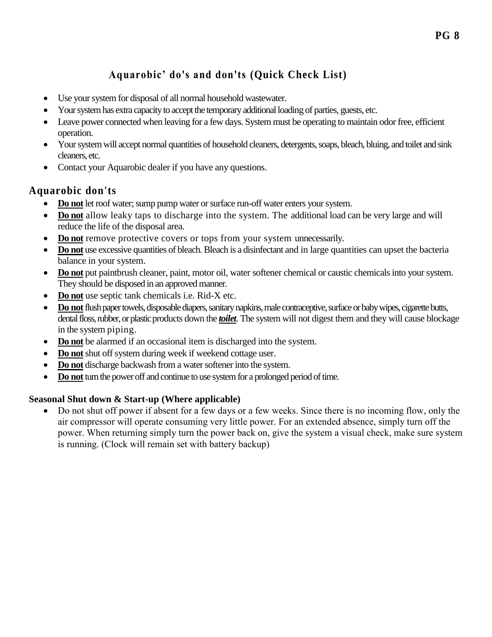# **Aquarobic' do's and don'ts (Quick Check List)**

- Use your system for disposal of all normal household wastewater.
- Your system has extra capacity to accept the temporary additional loading of parties, guests, etc.
- Leave power connected when leaving for a few days. System must be operating to maintain odor free, efficient operation.
- Your system will accept normal quantities of household cleaners, detergents, soaps, bleach, bluing, and toilet and sink cleaners, etc.
- Contact your Aquarobic dealer if you have any questions.

## **Aquarobic don'ts**

- **Do not** let roof water; sump pump water or surface run-off water enters your system.
- **Do not** allow leaky taps to discharge into the system. The additional load can be very large and will reduce the life of the disposal area.
- **Do not** remove protective covers or tops from your system unnecessarily.
- **Do not** use excessive quantities of bleach. Bleach is a disinfectant and in large quantities can upset the bacteria balance in your system.
- **Do not** put paintbrush cleaner, paint, motor oil, water softener chemical or caustic chemicals into your system. They should be disposed in an approved manner.
- **Do not** use septic tank chemicals i.e. Rid-X etc.
- **Do not**flush paper towels, disposable diapers, sanitary napkins, male contraceptive, surface or baby wipes, cigarette butts, dental floss, rubber, or plastic products down the *toilet.* The system will not digest them and they will cause blockage in the system piping.
- **Do not** be alarmed if an occasional item is discharged into the system.
- Do not shut off system during week if weekend cottage user.
- **Do not** discharge backwash from a water softener into the system.
- **Do not**turn the power off and continue to use system for a prolonged period of time.

## **Seasonal Shut down & Start-up (Where applicable)**

 Do not shut off power if absent for a few days or a few weeks. Since there is no incoming flow, only the air compressor will operate consuming very little power. For an extended absence, simply turn off the power. When returning simply turn the power back on, give the system a visual check, make sure system is running. (Clock will remain set with battery backup)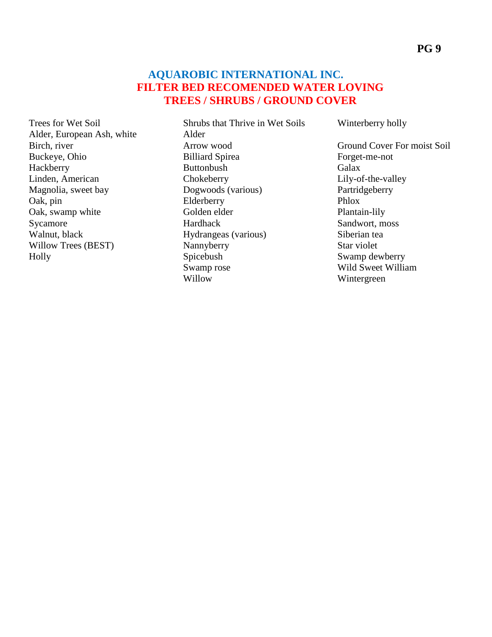## **AQUAROBIC INTERNATIONAL INC. FILTER BED RECOMENDED WATER LOVING TREES / SHRUBS / GROUND COVER**

Trees for Wet Soil Alder, European Ash, white Birch, river Buckeye, Ohio Hackberry Linden, American Magnolia, sweet bay Oak, pin Oak, swamp white Sycamore Walnut, black Willow Trees (BEST) Holly

Shrubs that Thrive in Wet Soils Alder Arrow wood Billiard Spirea Buttonbush **Chokeberry** Dogwoods (various) Elderberry Golden elder Hardhack Hydrangeas (various) Nannyberry **Spicebush** Swamp rose Willow

Winterberry holly

Ground Cover For moist Soil Forget-me-not Galax Lily-of-the-valley Partridgeberry Phlox Plantain-lily Sandwort, moss Siberian tea Star violet Swamp dewberry Wild Sweet William Wintergreen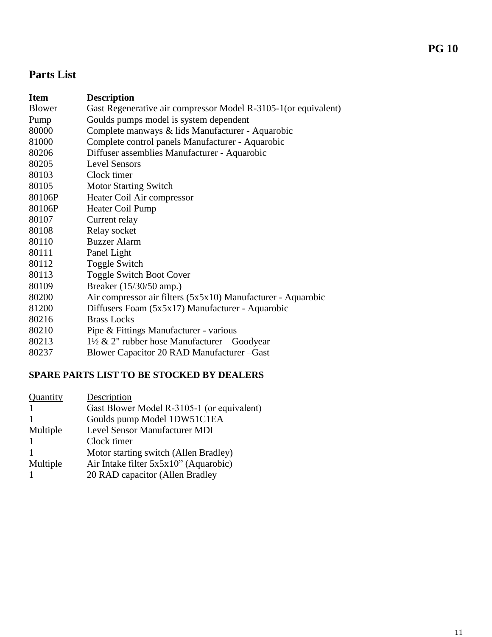# **Parts List**

| <b>Item</b> | <b>Description</b>                                              |
|-------------|-----------------------------------------------------------------|
| Blower      | Gast Regenerative air compressor Model R-3105-1 (or equivalent) |
| Pump        | Goulds pumps model is system dependent                          |
| 80000       | Complete manways & lids Manufacturer - Aquarobic                |
| 81000       | Complete control panels Manufacturer - Aquarobic                |
| 80206       | Diffuser assemblies Manufacturer - Aquarobic                    |
| 80205       | <b>Level Sensors</b>                                            |
| 80103       | Clock timer                                                     |
| 80105       | <b>Motor Starting Switch</b>                                    |
| 80106P      | Heater Coil Air compressor                                      |
| 80106P      | Heater Coil Pump                                                |
| 80107       | Current relay                                                   |
| 80108       | Relay socket                                                    |
| 80110       | <b>Buzzer Alarm</b>                                             |
| 80111       | Panel Light                                                     |
| 80112       | <b>Toggle Switch</b>                                            |
| 80113       | <b>Toggle Switch Boot Cover</b>                                 |
| 80109       | Breaker (15/30/50 amp.)                                         |
| 80200       | Air compressor air filters (5x5x10) Manufacturer - Aquarobic    |
| 81200       | Diffusers Foam (5x5x17) Manufacturer - Aquarobic                |
| 80216       | <b>Brass Locks</b>                                              |
| 80210       | Pipe & Fittings Manufacturer - various                          |
| 80213       | $1\frac{1}{2}$ & 2" rubber hose Manufacturer - Goodyear         |
| 80237       | Blower Capacitor 20 RAD Manufacturer - Gast                     |

## **SPARE PARTS LIST TO BE STOCKED BY DEALERS**

| Quantity | Description                                |
|----------|--------------------------------------------|
|          | Gast Blower Model R-3105-1 (or equivalent) |
|          | Goulds pump Model 1DW51C1EA                |
| Multiple | Level Sensor Manufacturer MDI              |
|          | Clock timer                                |
|          | Motor starting switch (Allen Bradley)      |
| Multiple | Air Intake filter 5x5x10" (Aquarobic)      |
|          | 20 RAD capacitor (Allen Bradley            |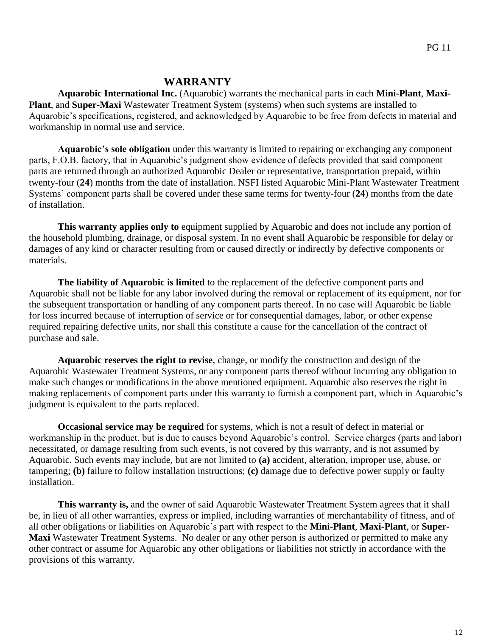## **WARRANTY**

**Aquarobic International Inc.** (Aquarobic) warrants the mechanical parts in each **Mini-Plant**, **Maxi-Plant**, and **Super-Maxi** Wastewater Treatment System (systems) when such systems are installed to Aquarobic's specifications, registered, and acknowledged by Aquarobic to be free from defects in material and workmanship in normal use and service.

**Aquarobic's sole obligation** under this warranty is limited to repairing or exchanging any component parts, F.O.B. factory, that in Aquarobic's judgment show evidence of defects provided that said component parts are returned through an authorized Aquarobic Dealer or representative, transportation prepaid, within twenty-four (**24**) months from the date of installation. NSFI listed Aquarobic Mini-Plant Wastewater Treatment Systems' component parts shall be covered under these same terms for twenty-four (**24**) months from the date of installation.

**This warranty applies only to** equipment supplied by Aquarobic and does not include any portion of the household plumbing, drainage, or disposal system. In no event shall Aquarobic be responsible for delay or damages of any kind or character resulting from or caused directly or indirectly by defective components or materials.

**The liability of Aquarobic is limited** to the replacement of the defective component parts and Aquarobic shall not be liable for any labor involved during the removal or replacement of its equipment, nor for the subsequent transportation or handling of any component parts thereof. In no case will Aquarobic be liable for loss incurred because of interruption of service or for consequential damages, labor, or other expense required repairing defective units, nor shall this constitute a cause for the cancellation of the contract of purchase and sale.

**Aquarobic reserves the right to revise**, change, or modify the construction and design of the Aquarobic Wastewater Treatment Systems, or any component parts thereof without incurring any obligation to make such changes or modifications in the above mentioned equipment. Aquarobic also reserves the right in making replacements of component parts under this warranty to furnish a component part, which in Aquarobic's judgment is equivalent to the parts replaced.

**Occasional service may be required** for systems, which is not a result of defect in material or workmanship in the product, but is due to causes beyond Aquarobic's control. Service charges (parts and labor) necessitated, or damage resulting from such events, is not covered by this warranty, and is not assumed by Aquarobic. Such events may include, but are not limited to **(a)** accident, alteration, improper use, abuse, or tampering; **(b)** failure to follow installation instructions; **(c)** damage due to defective power supply or faulty installation.

This warranty is, and the owner of said Aquarobic Wastewater Treatment System agrees that it shall be, in lieu of all other warranties, express or implied, including warranties of merchantability of fitness, and of all other obligations or liabilities on Aquarobic's part with respect to the **Mini-Plant**, **Maxi-Plant**, or **Super-Maxi** Wastewater Treatment Systems. No dealer or any other person is authorized or permitted to make any other contract or assume for Aquarobic any other obligations or liabilities not strictly in accordance with the provisions of this warranty.